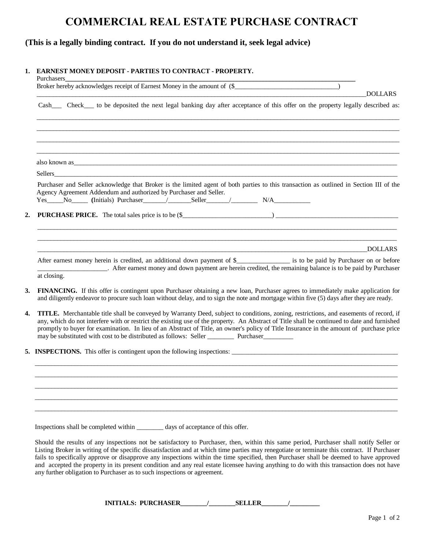## **COMMERCIAL REAL ESTATE PURCHASE CONTRACT**

## **(This is a legally binding contract. If you do not understand it, seek legal advice)**

## **1. EARNEST MONEY DEPOSIT - PARTIES TO CONTRACT - PROPERTY.**

| Purchasers<br>Broker hereby acknowledges receipt of Earnest Money in the amount of (\$                                                                                                                                                                                                                                                                                                                                                                                                                                                           |                |
|--------------------------------------------------------------------------------------------------------------------------------------------------------------------------------------------------------------------------------------------------------------------------------------------------------------------------------------------------------------------------------------------------------------------------------------------------------------------------------------------------------------------------------------------------|----------------|
|                                                                                                                                                                                                                                                                                                                                                                                                                                                                                                                                                  | <b>DOLLARS</b> |
| Cash_____ Check____ to be deposited the next legal banking day after acceptance of this offer on the property legally described as:                                                                                                                                                                                                                                                                                                                                                                                                              |                |
|                                                                                                                                                                                                                                                                                                                                                                                                                                                                                                                                                  |                |
|                                                                                                                                                                                                                                                                                                                                                                                                                                                                                                                                                  |                |
| also known as <u>experience</u> and the contract of the contract of the contract of the contract of the contract of the contract of the contract of the contract of the contract of the contract of the contract of the contract of                                                                                                                                                                                                                                                                                                              |                |
| Sellers <b>Example 2018 Sellers Example 2018 Contract 2018 Contract 2018 Contract 2018</b>                                                                                                                                                                                                                                                                                                                                                                                                                                                       |                |
| Purchaser and Seller acknowledge that Broker is the limited agent of both parties to this transaction as outlined in Section III of the<br>Agency Agreement Addendum and authorized by Purchaser and Seller.<br>Yes No (Initials) Purchaser / Seller / N/A                                                                                                                                                                                                                                                                                       |                |
| <b>PURCHASE PRICE.</b> The total sales price is to be (\$                                                                                                                                                                                                                                                                                                                                                                                                                                                                                        |                |
|                                                                                                                                                                                                                                                                                                                                                                                                                                                                                                                                                  |                |
|                                                                                                                                                                                                                                                                                                                                                                                                                                                                                                                                                  |                |
|                                                                                                                                                                                                                                                                                                                                                                                                                                                                                                                                                  | DOLLARS        |
| After earnest money herein is credited, an additional down payment of \$_______________ is to be paid by Purchaser on or before<br>at closing.                                                                                                                                                                                                                                                                                                                                                                                                   |                |
| FINANCING. If this offer is contingent upon Purchaser obtaining a new loan, Purchaser agrees to immediately make application for<br>and diligently endeavor to procure such loan without delay, and to sign the note and mortgage within five (5) days after they are ready.                                                                                                                                                                                                                                                                     |                |
| <b>TITLE.</b> Merchantable title shall be conveyed by Warranty Deed, subject to conditions, zoning, restrictions, and easements of record, if<br>any, which do not interfere with or restrict the existing use of the property. An Abstract of Title shall be continued to date and furnished<br>promptly to buyer for examination. In lieu of an Abstract of Title, an owner's policy of Title Insurance in the amount of purchase price<br>may be substituted with cost to be distributed as follows: Seller ____________ Purchaser___________ |                |
| 5. INSPECTIONS. This offer is contingent upon the following inspections:                                                                                                                                                                                                                                                                                                                                                                                                                                                                         |                |
|                                                                                                                                                                                                                                                                                                                                                                                                                                                                                                                                                  |                |
|                                                                                                                                                                                                                                                                                                                                                                                                                                                                                                                                                  |                |
|                                                                                                                                                                                                                                                                                                                                                                                                                                                                                                                                                  |                |
|                                                                                                                                                                                                                                                                                                                                                                                                                                                                                                                                                  |                |
|                                                                                                                                                                                                                                                                                                                                                                                                                                                                                                                                                  |                |

Inspections shall be completed within \_\_\_\_\_\_\_\_ days of acceptance of this offer.

Should the results of any inspections not be satisfactory to Purchaser, then, within this same period, Purchaser shall notify Seller or Listing Broker in writing of the specific dissatisfaction and at which time parties may renegotiate or terminate this contract. If Purchaser fails to specifically approve or disapprove any inspections within the time specified, then Purchaser shall be deemed to have approved and accepted the property in its present condition and any real estate licensee having anything to do with this transaction does not have any further obligation to Purchaser as to such inspections or agreement.

**INITIALS: PURCHASER\_\_\_\_\_\_\_\_/\_\_\_\_\_\_\_\_SELLER\_\_\_\_\_\_\_\_/\_\_\_\_\_\_\_\_\_**